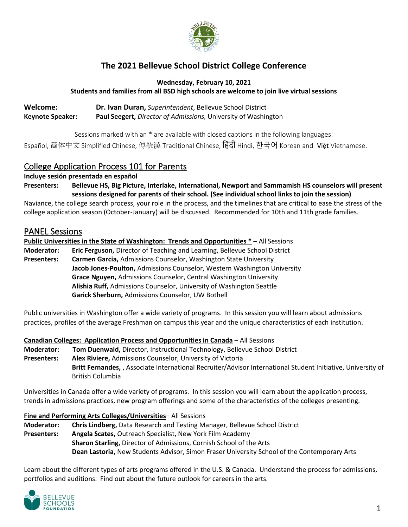

# **The 2021 Bellevue School District College Conference**

**Wednesday, February 10, 2021 Students and families from all BSD high schools are welcome to join live virtual sessions**

**Welcome: Dr. Ivan Duran,** *Superintendent*, Bellevue School District **Keynote Speaker: Paul Seegert,** *Director of Admissions,* University of Washington

Sessions marked with an \* are available with closed captions in the following languages:

Español, 简体中文 Simplified Chinese, 傳統漢 Traditional Chinese, ह िंदी Hindi, 한국어 Korean and Việt Vietnamese.

# College Application Process 101 for Parents

**Incluye sesión presentada en español**

**Presenters: Bellevue HS, Big Picture, Interlake, International, Newport and Sammamish HS counselors will present sessions designed for parents of their school. (See individual school links to join the session)**

Naviance, the college search process, your role in the process, and the timelines that are critical to ease the stress of the college application season (October-January) will be discussed. Recommended for 10th and 11th grade families.

# PANEL Sessions

**Public Universities in the State of Washington: Trends and Opportunities \*** – All Sessions

**Moderator: Eric Ferguson,** Director of Teaching and Learning, Bellevue School District **Presenters: Carmen Garcia,** Admissions Counselor, Washington State University **Jacob Jones-Poulton,** Admissions Counselor, Western Washington University **Grace Nguyen,** Admissions Counselor, Central Washington University **Alishia Ruff,** Admissions Counselor, University of Washington Seattle **Garick Sherburn,** Admissions Counselor, UW Bothell

Public universities in Washington offer a wide variety of programs. In this session you will learn about admissions practices, profiles of the average Freshman on campus this year and the unique characteristics of each institution.

### **Canadian Colleges: Application Process and Opportunities in Canada** – All Sessions

**Moderator: Tom Duenwald,** Director, Instructional Technology, Bellevue School District **Presenters: Alex Riviere,** Admissions Counselor, University of Victoria **Britt Fernandes,** , Associate International Recruiter/Advisor International Student Initiative, University of British Columbia

Universities in Canada offer a wide variety of programs. In this session you will learn about the application process, trends in admissions practices, new program offerings and some of the characteristics of the colleges presenting.

### **Fine and Performing Arts Colleges/Universities**– All Sessions

**Moderator: Chris Lindberg,** Data Research and Testing Manager, Bellevue School District **Presenters: Angela Scates,** Outreach Specialist, New York Film Academy **Sharon Starling,** Director of Admissions, Cornish School of the Arts **Dean Lastoria,** New Students Advisor, Simon Fraser University School of the Contemporary Arts

Learn about the different types of arts programs offered in the U.S. & Canada. Understand the process for admissions, portfolios and auditions. Find out about the future outlook for careers in the arts.

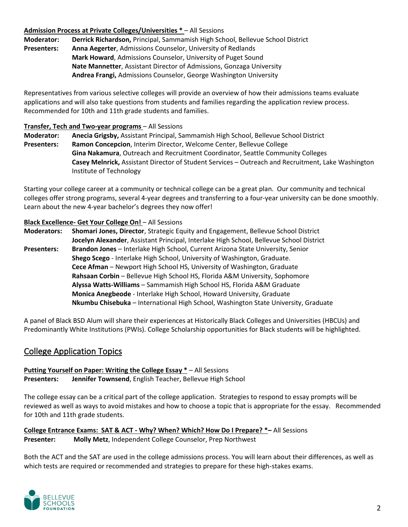## **Admission Process at Private Colleges/Universities \*** – All Sessions

**Moderator: Derrick Richardson,** Principal, Sammamish High School, Bellevue School District **Presenters: Anna Aegerter**, Admissions Counselor, University of Redlands **Mark Howard**, Admissions Counselor, University of Puget Sound **Nate Mannetter**, Assistant Director of Admissions, Gonzaga University **Andrea Frangi,** Admissions Counselor, George Washington University

Representatives from various selective colleges will provide an overview of how their admissions teams evaluate applications and will also take questions from students and families regarding the application review process. Recommended for 10th and 11th grade students and families.

### **Transfer, Tech and Two-year programs** – All Sessions

**Moderator: Anecia Grigsby,** Assistant Principal, Sammamish High School, Bellevue School District **Presenters: Ramon Concepcion**, Interim Director, Welcome Center, Bellevue College **Gina Nakamura**, Outreach and Recruitment Coordinator, Seattle Community Colleges **Casey Melnrick,** Assistant Director of Student Services – Outreach and Recruitment, Lake Washington Institute of Technology

Starting your college career at a community or technical college can be a great plan. Our community and technical colleges offer strong programs, several 4-year degrees and transferring to a four-year university can be done smoothly. Learn about the new 4-year bachelor's degrees they now offer!

## **Black Excellence- Get Your College On!** – All Sessions

**Moderators: Shomari Jones, Director**, Strategic Equity and Engagement, Bellevue School District **Jocelyn Alexander**, Assistant Principal, Interlake High School, Bellevue School District **Presenters: Brandon Jones** – Interlake High School, Current Arizona State University, Senior **Shego Scego** - Interlake High School, University of Washington, Graduate. **Cece Afman** – Newport High School HS, University of Washington, Graduate **Rahsaan Corbin** – Bellevue High School HS, Florida A&M University, Sophomore **Alyssa Watts-Williams** – Sammamish High School HS, Florida A&M Graduate **Monica Anegbeode** - Interlake High School, Howard University, Graduate **Nkumbu Chisebuka** – International High School, Washington State University, Graduate

A panel of Black BSD Alum will share their experiences at Historically Black Colleges and Universities (HBCUs) and Predominantly White Institutions (PWIs). College Scholarship opportunities for Black students will be highlighted.

# College Application Topics

#### **Putting Yourself on Paper: Writing the College Essay \*** – All Sessions **Presenters: Jennifer Townsend**, English Teacher, Bellevue High School

The college essay can be a critical part of the college application. Strategies to respond to essay prompts will be reviewed as well as ways to avoid mistakes and how to choose a topic that is appropriate for the essay. Recommended for 10th and 11th grade students.

**College Entrance Exams: SAT & ACT - Why? When? Which? How Do I Prepare? \*–** All Sessions **Presenter: Molly Metz**, Independent College Counselor, Prep Northwest

Both the ACT and the SAT are used in the college admissions process. You will learn about their differences, as well as which tests are required or recommended and strategies to prepare for these high-stakes exams.